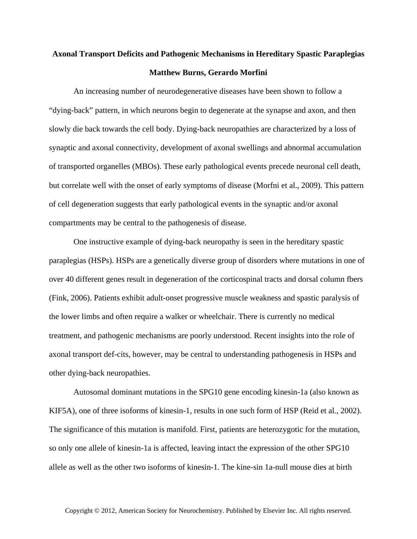## **Axonal Transport Deficits and Pathogenic Mechanisms in Hereditary Spastic Paraplegias Matthew Burns, Gerardo Morfini**

An increasing number of neurodegenerative diseases have been shown to follow a "dying-back" pattern, in which neurons begin to degenerate at the synapse and axon, and then slowly die back towards the cell body. Dying-back neuropathies are characterized by a loss of synaptic and axonal connectivity, development of axonal swellings and abnormal accumulation of transported organelles (MBOs). These early pathological events precede neuronal cell death, but correlate well with the onset of early symptoms of disease (Morfni et al., 2009). This pattern of cell degeneration suggests that early pathological events in the synaptic and/or axonal compartments may be central to the pathogenesis of disease.

One instructive example of dying-back neuropathy is seen in the hereditary spastic paraplegias (HSPs). HSPs are a genetically diverse group of disorders where mutations in one of over 40 different genes result in degeneration of the corticospinal tracts and dorsal column fbers (Fink, 2006). Patients exhibit adult-onset progressive muscle weakness and spastic paralysis of the lower limbs and often require a walker or wheelchair. There is currently no medical treatment, and pathogenic mechanisms are poorly understood. Recent insights into the role of axonal transport def-cits, however, may be central to understanding pathogenesis in HSPs and other dying-back neuropathies.

Autosomal dominant mutations in the SPG10 gene encoding kinesin-1a (also known as KIF5A), one of three isoforms of kinesin-1, results in one such form of HSP (Reid et al., 2002). The significance of this mutation is manifold. First, patients are heterozygotic for the mutation, so only one allele of kinesin-1a is affected, leaving intact the expression of the other SPG10 allele as well as the other two isoforms of kinesin-1. The kine-sin 1a-null mouse dies at birth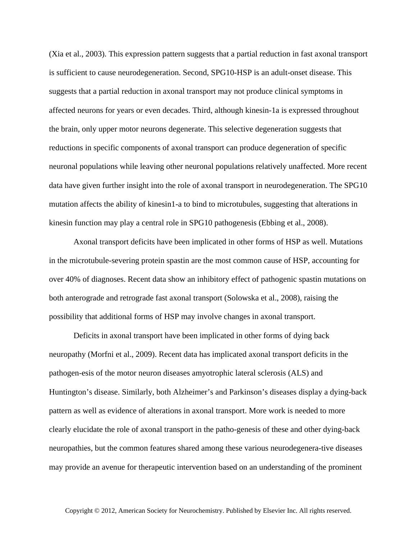(Xia et al., 2003). This expression pattern suggests that a partial reduction in fast axonal transport is sufficient to cause neurodegeneration. Second, SPG10-HSP is an adult-onset disease. This suggests that a partial reduction in axonal transport may not produce clinical symptoms in affected neurons for years or even decades. Third, although kinesin-1a is expressed throughout the brain, only upper motor neurons degenerate. This selective degeneration suggests that reductions in specific components of axonal transport can produce degeneration of specific neuronal populations while leaving other neuronal populations relatively unaffected. More recent data have given further insight into the role of axonal transport in neurodegeneration. The SPG10 mutation affects the ability of kinesin1-a to bind to microtubules, suggesting that alterations in kinesin function may play a central role in SPG10 pathogenesis (Ebbing et al., 2008).

Axonal transport deficits have been implicated in other forms of HSP as well. Mutations in the microtubule-severing protein spastin are the most common cause of HSP, accounting for over 40% of diagnoses. Recent data show an inhibitory effect of pathogenic spastin mutations on both anterograde and retrograde fast axonal transport (Solowska et al., 2008), raising the possibility that additional forms of HSP may involve changes in axonal transport.

Deficits in axonal transport have been implicated in other forms of dying back neuropathy (Morfni et al., 2009). Recent data has implicated axonal transport deficits in the pathogen-esis of the motor neuron diseases amyotrophic lateral sclerosis (ALS) and Huntington's disease. Similarly, both Alzheimer's and Parkinson's diseases display a dying-back pattern as well as evidence of alterations in axonal transport. More work is needed to more clearly elucidate the role of axonal transport in the patho-genesis of these and other dying-back neuropathies, but the common features shared among these various neurodegenera-tive diseases may provide an avenue for therapeutic intervention based on an understanding of the prominent